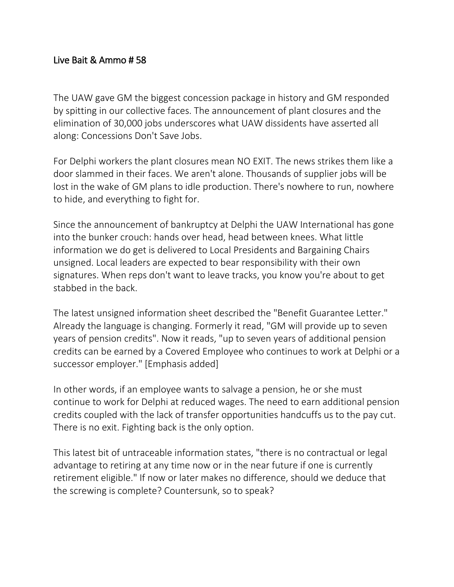## Live Bait & Ammo # 58

The UAW gave GM the biggest concession package in history and GM responded by spitting in our collective faces. The announcement of plant closures and the elimination of 30,000 jobs underscores what UAW dissidents have asserted all along: Concessions Don't Save Jobs.

For Delphi workers the plant closures mean NO EXIT. The news strikes them like a door slammed in their faces. We aren't alone. Thousands of supplier jobs will be lost in the wake of GM plans to idle production. There's nowhere to run, nowhere to hide, and everything to fight for.

Since the announcement of bankruptcy at Delphi the UAW International has gone into the bunker crouch: hands over head, head between knees. What little information we do get is delivered to Local Presidents and Bargaining Chairs unsigned. Local leaders are expected to bear responsibility with their own signatures. When reps don't want to leave tracks, you know you're about to get stabbed in the back.

The latest unsigned information sheet described the "Benefit Guarantee Letter." Already the language is changing. Formerly it read, "GM will provide up to seven years of pension credits". Now it reads, "up to seven years of additional pension credits can be earned by a Covered Employee who continues to work at Delphi or a successor employer." [Emphasis added]

In other words, if an employee wants to salvage a pension, he or she must continue to work for Delphi at reduced wages. The need to earn additional pension credits coupled with the lack of transfer opportunities handcuffs us to the pay cut. There is no exit. Fighting back is the only option.

This latest bit of untraceable information states, "there is no contractual or legal advantage to retiring at any time now or in the near future if one is currently retirement eligible." If now or later makes no difference, should we deduce that the screwing is complete? Countersunk, so to speak?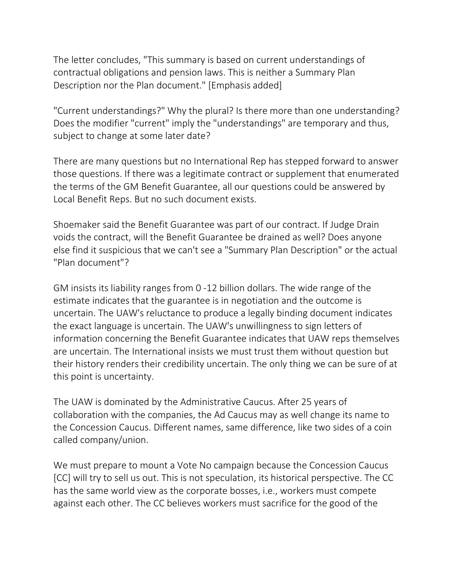The letter concludes, "This summary is based on current understandings of contractual obligations and pension laws. This is neither a Summary Plan Description nor the Plan document." [Emphasis added]

"Current understandings?" Why the plural? Is there more than one understanding? Does the modifier "current" imply the "understandings" are temporary and thus, subject to change at some later date?

There are many questions but no International Rep has stepped forward to answer those questions. If there was a legitimate contract or supplement that enumerated the terms of the GM Benefit Guarantee, all our questions could be answered by Local Benefit Reps. But no such document exists.

Shoemaker said the Benefit Guarantee was part of our contract. If Judge Drain voids the contract, will the Benefit Guarantee be drained as well? Does anyone else find it suspicious that we can't see a "Summary Plan Description" or the actual "Plan document"?

GM insists its liability ranges from 0 -12 billion dollars. The wide range of the estimate indicates that the guarantee is in negotiation and the outcome is uncertain. The UAW's reluctance to produce a legally binding document indicates the exact language is uncertain. The UAW's unwillingness to sign letters of information concerning the Benefit Guarantee indicates that UAW reps themselves are uncertain. The International insists we must trust them without question but their history renders their credibility uncertain. The only thing we can be sure of at this point is uncertainty.

The UAW is dominated by the Administrative Caucus. After 25 years of collaboration with the companies, the Ad Caucus may as well change its name to the Concession Caucus. Different names, same difference, like two sides of a coin called company/union.

We must prepare to mount a Vote No campaign because the Concession Caucus [CC] will try to sell us out. This is not speculation, its historical perspective. The CC has the same world view as the corporate bosses, i.e., workers must compete against each other. The CC believes workers must sacrifice for the good of the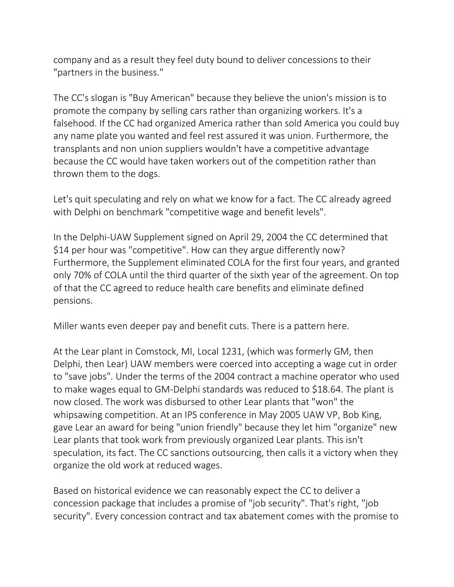company and as a result they feel duty bound to deliver concessions to their "partners in the business."

The CC's slogan is "Buy American" because they believe the union's mission is to promote the company by selling cars rather than organizing workers. It's a falsehood. If the CC had organized America rather than sold America you could buy any name plate you wanted and feel rest assured it was union. Furthermore, the transplants and non union suppliers wouldn't have a competitive advantage because the CC would have taken workers out of the competition rather than thrown them to the dogs.

Let's quit speculating and rely on what we know for a fact. The CC already agreed with Delphi on benchmark "competitive wage and benefit levels".

In the Delphi-UAW Supplement signed on April 29, 2004 the CC determined that \$14 per hour was "competitive". How can they argue differently now? Furthermore, the Supplement eliminated COLA for the first four years, and granted only 70% of COLA until the third quarter of the sixth year of the agreement. On top of that the CC agreed to reduce health care benefits and eliminate defined pensions.

Miller wants even deeper pay and benefit cuts. There is a pattern here.

At the Lear plant in Comstock, MI, Local 1231, (which was formerly GM, then Delphi, then Lear) UAW members were coerced into accepting a wage cut in order to "save jobs". Under the terms of the 2004 contract a machine operator who used to make wages equal to GM-Delphi standards was reduced to \$18.64. The plant is now closed. The work was disbursed to other Lear plants that "won" the whipsawing competition. At an IPS conference in May 2005 UAW VP, Bob King, gave Lear an award for being "union friendly" because they let him "organize" new Lear plants that took work from previously organized Lear plants. This isn't speculation, its fact. The CC sanctions outsourcing, then calls it a victory when they organize the old work at reduced wages.

Based on historical evidence we can reasonably expect the CC to deliver a concession package that includes a promise of "job security". That's right, "job security". Every concession contract and tax abatement comes with the promise to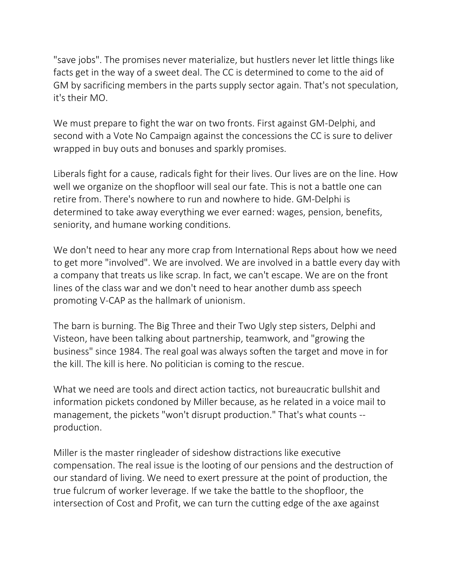"save jobs". The promises never materialize, but hustlers never let little things like facts get in the way of a sweet deal. The CC is determined to come to the aid of GM by sacrificing members in the parts supply sector again. That's not speculation, it's their MO.

We must prepare to fight the war on two fronts. First against GM-Delphi, and second with a Vote No Campaign against the concessions the CC is sure to deliver wrapped in buy outs and bonuses and sparkly promises.

Liberals fight for a cause, radicals fight for their lives. Our lives are on the line. How well we organize on the shopfloor will seal our fate. This is not a battle one can retire from. There's nowhere to run and nowhere to hide. GM-Delphi is determined to take away everything we ever earned: wages, pension, benefits, seniority, and humane working conditions.

We don't need to hear any more crap from International Reps about how we need to get more "involved". We are involved. We are involved in a battle every day with a company that treats us like scrap. In fact, we can't escape. We are on the front lines of the class war and we don't need to hear another dumb ass speech promoting V-CAP as the hallmark of unionism.

The barn is burning. The Big Three and their Two Ugly step sisters, Delphi and Visteon, have been talking about partnership, teamwork, and "growing the business" since 1984. The real goal was always soften the target and move in for the kill. The kill is here. No politician is coming to the rescue.

What we need are tools and direct action tactics, not bureaucratic bullshit and information pickets condoned by Miller because, as he related in a voice mail to management, the pickets "won't disrupt production." That's what counts - production.

Miller is the master ringleader of sideshow distractions like executive compensation. The real issue is the looting of our pensions and the destruction of our standard of living. We need to exert pressure at the point of production, the true fulcrum of worker leverage. If we take the battle to the shopfloor, the intersection of Cost and Profit, we can turn the cutting edge of the axe against